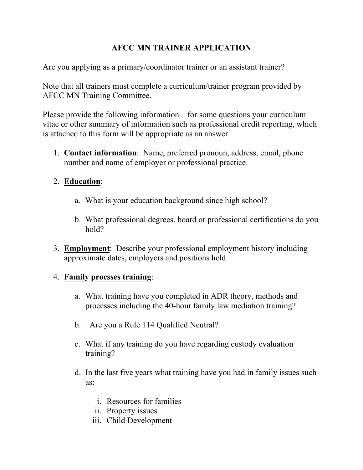# **AFCC MN TRAINER APPLICATION**

Are you applying as a primary/coordinator trainer or an assistant trainer?

Note that all trainers must complete a curriculum/trainer program provided by AFCC MN Training Committee.

Please provide the following information – for some questions your curriculum vitae or other summary of information such as professional credit reporting, which is attached to this form will be appropriate as an answer.

1. **Contact information**: Name, preferred pronoun, address, email, phone number and name of employer or professional practice.

# 2. **Education**:

- a. What is your education background since high school?
- b. What professional degrees, board or professional certifications do you hold?
- 3. **Employment**: Describe your professional employment history including approximate dates, employers and positions held.

# 4. **Family procsses training**:

- a. What training have you completed in ADR theory, methods and processes including the 40-hour family law mediation training?
- b. Are you a Rule 114 Qualified Neutral?
- c. What if any training do you have regarding custody evaluation training?
- d. In the last five years what training have you had in family issues such as:
	- i. Resources for families
	- ii. Property issues
	- iii. Child Development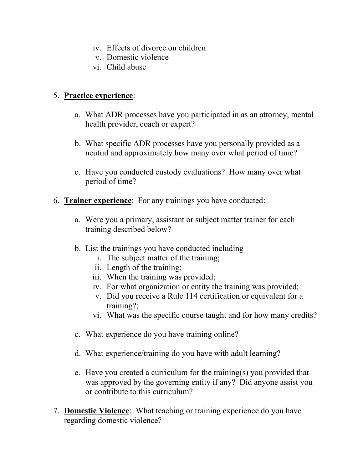- iv. Effects of divorce on children
- v. Domestic violence
- vi. Child abuse

#### 5. **Practice experience**:

- a. What ADR processes have you participated in as an attorney, mental health provider, coach or expert?
- b. What specific ADR processes have you personally provided as a neutral and approximately how many over what period of time?
- c. Have you conducted custody evaluations? How many over what period of time?
- 6. **Trainer experience**: For any trainings you have conducted:
	- a. Were you a primary, assistant or subject matter trainer for each training described below?
	- b. List the trainings you have conducted including
		- i. The subject matter of the training;
		- ii. Length of the training;
		- iii. When the training was provided;
		- iv. For what organization or entity the training was provided;
		- v. Did you receive a Rule 114 certification or equivalent for a training?;
		- vi. What was the specific course taught and for how many credits?
	- c. What experience do you have training online?
	- d. What experience/training do you have with adult learning?
	- e. Have you created a curriculum for the training(s) you provided that was approved by the governing entity if any? Did anyone assist you or contribute to this curriculum?
- 7. **Domestic Violence**: What teaching or training experience do you have regarding domestic violence?